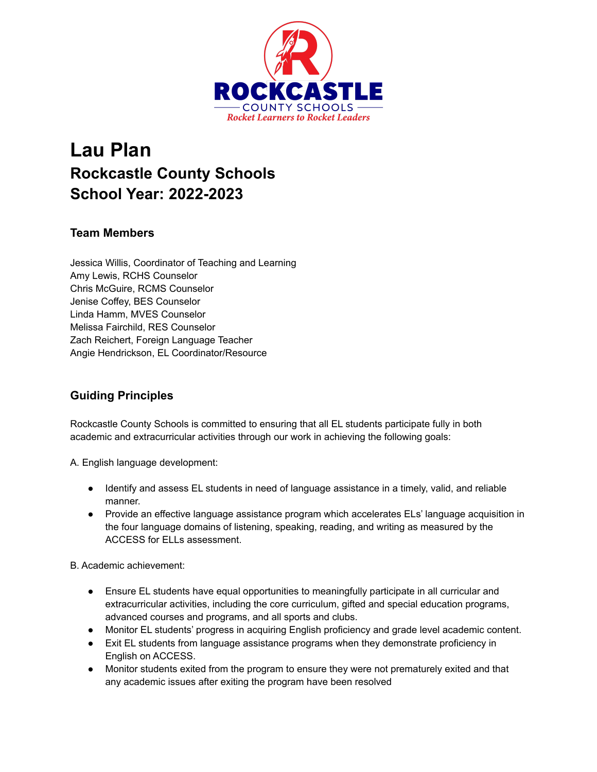

# **Lau Plan Rockcastle County Schools School Year: 2022-2023**

# **Team Members**

Jessica Willis, Coordinator of Teaching and Learning Amy Lewis, RCHS Counselor Chris McGuire, RCMS Counselor Jenise Coffey, BES Counselor Linda Hamm, MVES Counselor Melissa Fairchild, RES Counselor Zach Reichert, Foreign Language Teacher Angie Hendrickson, EL Coordinator/Resource

# **Guiding Principles**

Rockcastle County Schools is committed to ensuring that all EL students participate fully in both academic and extracurricular activities through our work in achieving the following goals:

A. English language development:

- Identify and assess EL students in need of language assistance in a timely, valid, and reliable manner.
- Provide an effective language assistance program which accelerates ELs' language acquisition in the four language domains of listening, speaking, reading, and writing as measured by the ACCESS for ELLs assessment.

B. Academic achievement:

- Ensure EL students have equal opportunities to meaningfully participate in all curricular and extracurricular activities, including the core curriculum, gifted and special education programs, advanced courses and programs, and all sports and clubs.
- Monitor EL students' progress in acquiring English proficiency and grade level academic content.
- Exit EL students from language assistance programs when they demonstrate proficiency in English on ACCESS.
- Monitor students exited from the program to ensure they were not prematurely exited and that any academic issues after exiting the program have been resolved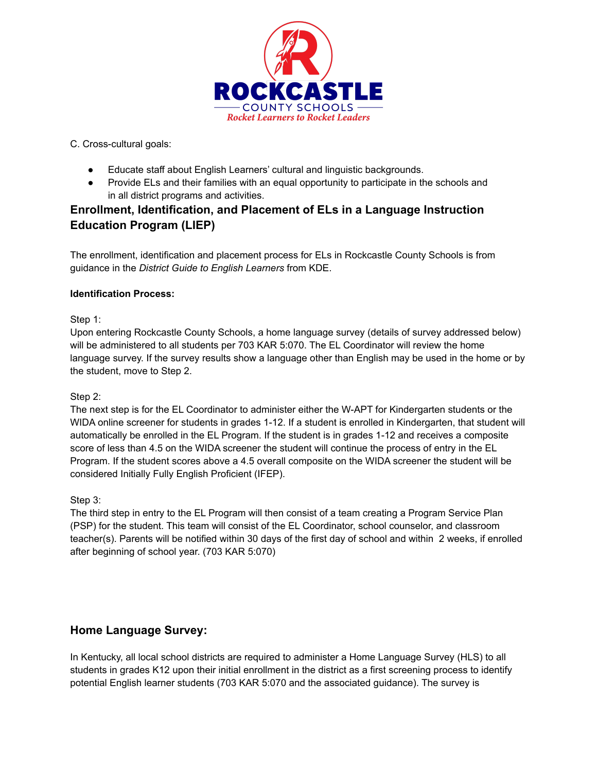

#### C. Cross-cultural goals:

- Educate staff about English Learners' cultural and linguistic backgrounds.
- Provide ELs and their families with an equal opportunity to participate in the schools and in all district programs and activities.

# **Enrollment, Identification, and Placement of ELs in a Language Instruction Education Program (LIEP)**

The enrollment, identification and placement process for ELs in Rockcastle County Schools is from guidance in the *District Guide to English Learners* from KDE.

#### **Identification Process:**

#### Step 1:

Upon entering Rockcastle County Schools, a home language survey (details of survey addressed below) will be administered to all students per 703 KAR 5:070. The EL Coordinator will review the home language survey. If the survey results show a language other than English may be used in the home or by the student, move to Step 2.

#### Step 2:

The next step is for the EL Coordinator to administer either the W-APT for Kindergarten students or the WIDA online screener for students in grades 1-12. If a student is enrolled in Kindergarten, that student will automatically be enrolled in the EL Program. If the student is in grades 1-12 and receives a composite score of less than 4.5 on the WIDA screener the student will continue the process of entry in the EL Program. If the student scores above a 4.5 overall composite on the WIDA screener the student will be considered Initially Fully English Proficient (IFEP).

#### Step 3:

The third step in entry to the EL Program will then consist of a team creating a Program Service Plan (PSP) for the student. This team will consist of the EL Coordinator, school counselor, and classroom teacher(s). Parents will be notified within 30 days of the first day of school and within 2 weeks, if enrolled after beginning of school year. (703 KAR 5:070)

# **Home Language Survey:**

In Kentucky, all local school districts are required to administer a Home Language Survey (HLS) to all students in grades K12 upon their initial enrollment in the district as a first screening process to identify potential English learner students (703 KAR 5:070 and the associated guidance). The survey is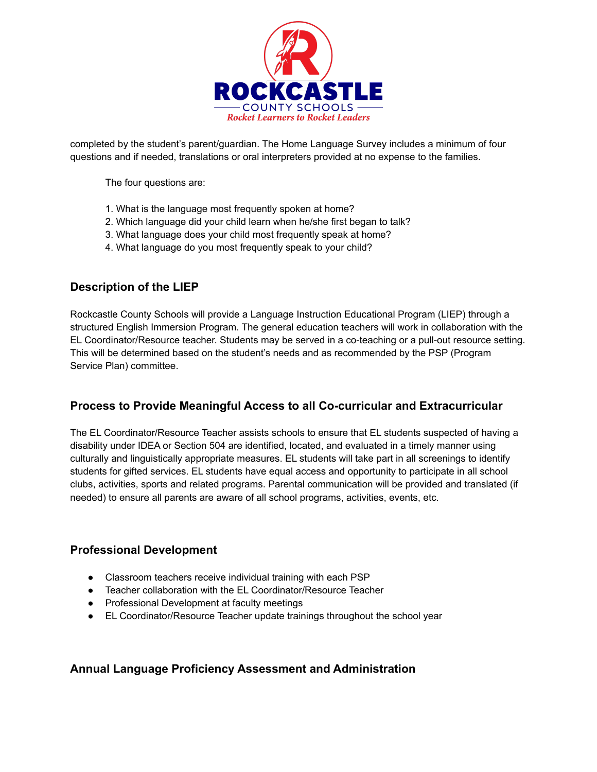

completed by the student's parent/guardian. The Home Language Survey includes a minimum of four questions and if needed, translations or oral interpreters provided at no expense to the families.

The four questions are:

- 1. What is the language most frequently spoken at home?
- 2. Which language did your child learn when he/she first began to talk?
- 3. What language does your child most frequently speak at home?
- 4. What language do you most frequently speak to your child?

## **Description of the LIEP**

Rockcastle County Schools will provide a Language Instruction Educational Program (LIEP) through a structured English Immersion Program. The general education teachers will work in collaboration with the EL Coordinator/Resource teacher. Students may be served in a co-teaching or a pull-out resource setting. This will be determined based on the student's needs and as recommended by the PSP (Program Service Plan) committee.

## **Process to Provide Meaningful Access to all Co-curricular and Extracurricular**

The EL Coordinator/Resource Teacher assists schools to ensure that EL students suspected of having a disability under IDEA or Section 504 are identified, located, and evaluated in a timely manner using culturally and linguistically appropriate measures. EL students will take part in all screenings to identify students for gifted services. EL students have equal access and opportunity to participate in all school clubs, activities, sports and related programs. Parental communication will be provided and translated (if needed) to ensure all parents are aware of all school programs, activities, events, etc.

#### **Professional Development**

- Classroom teachers receive individual training with each PSP
- Teacher collaboration with the EL Coordinator/Resource Teacher
- Professional Development at faculty meetings
- EL Coordinator/Resource Teacher update trainings throughout the school year

## **Annual Language Proficiency Assessment and Administration**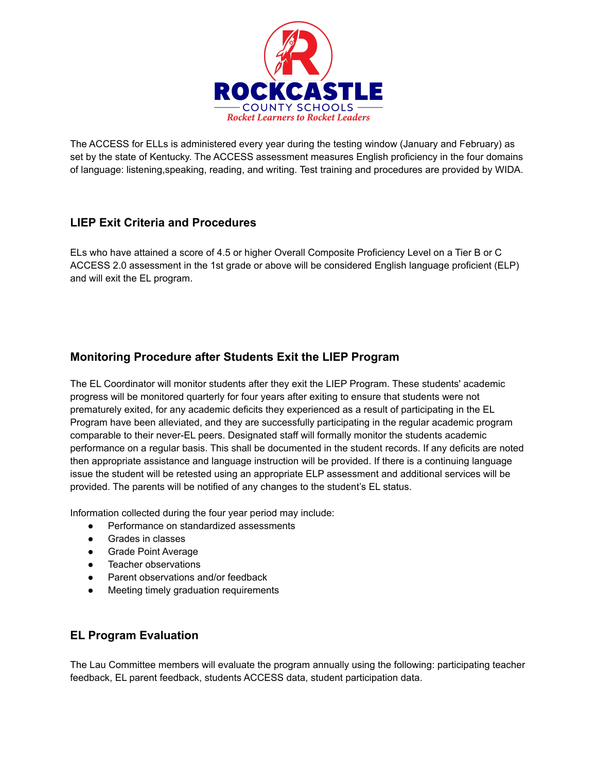

The ACCESS for ELLs is administered every year during the testing window (January and February) as set by the state of Kentucky. The ACCESS assessment measures English proficiency in the four domains of language: listening,speaking, reading, and writing. Test training and procedures are provided by WIDA.

## **LIEP Exit Criteria and Procedures**

ELs who have attained a score of 4.5 or higher Overall Composite Proficiency Level on a Tier B or C ACCESS 2.0 assessment in the 1st grade or above will be considered English language proficient (ELP) and will exit the EL program.

# **Monitoring Procedure after Students Exit the LIEP Program**

The EL Coordinator will monitor students after they exit the LIEP Program. These students' academic progress will be monitored quarterly for four years after exiting to ensure that students were not prematurely exited, for any academic deficits they experienced as a result of participating in the EL Program have been alleviated, and they are successfully participating in the regular academic program comparable to their never-EL peers. Designated staff will formally monitor the students academic performance on a regular basis. This shall be documented in the student records. If any deficits are noted then appropriate assistance and language instruction will be provided. If there is a continuing language issue the student will be retested using an appropriate ELP assessment and additional services will be provided. The parents will be notified of any changes to the student's EL status.

Information collected during the four year period may include:

- Performance on standardized assessments
- Grades in classes
- Grade Point Average
- Teacher observations
- Parent observations and/or feedback
- Meeting timely graduation requirements

# **EL Program Evaluation**

The Lau Committee members will evaluate the program annually using the following: participating teacher feedback, EL parent feedback, students ACCESS data, student participation data.